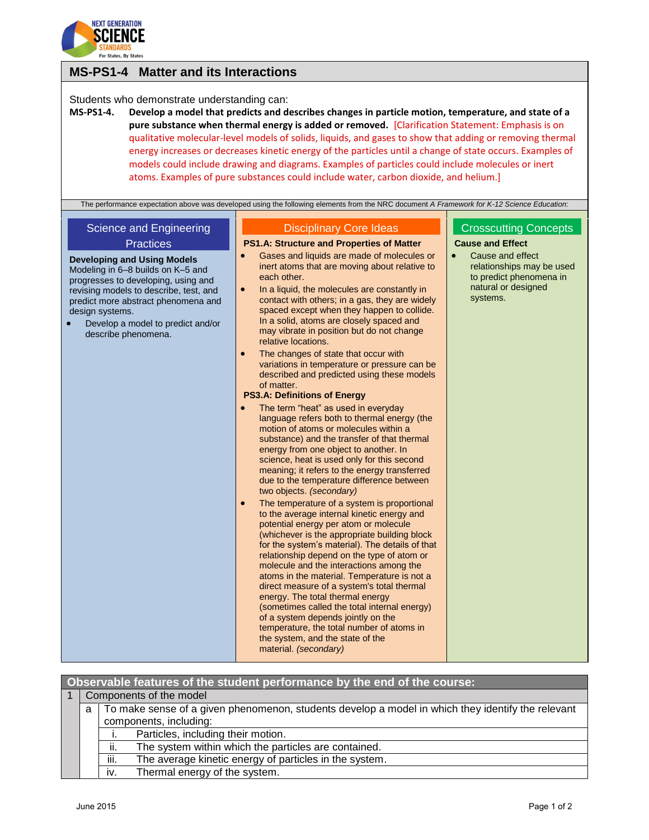

# **MS-PS1-4 Matter and its Interactions**

## Students who demonstrate understanding can:

**MS-PS1-4. Develop a model that predicts and describes changes in particle motion, temperature, and state of a pure substance when thermal energy is added or removed.** [Clarification Statement: Emphasis is on qualitative molecular-level models of solids, liquids, and gases to show that adding or removing thermal energy increases or decreases kinetic energy of the particles until a change of state occurs. Examples of models could include drawing and diagrams. Examples of particles could include molecules or inert atoms. Examples of pure substances could include water, carbon dioxide, and helium.]

The performance expectation above was developed using the following elements from the NRC document *A Framework for K-12 Science Education*:

# Science and Engineering **Practices**

**Developing and Using Models** Modeling in 6–8 builds on K–5 and progresses to developing, using and revising models to describe, test, and predict more abstract phenomena and design systems.

 Develop a model to predict and/or describe phenomena.

#### Disciplinary Core Ideas

#### **PS1.A: Structure and Properties of Matter**

- Gases and liquids are made of molecules or inert atoms that are moving about relative to each other.
- In a liquid, the molecules are constantly in contact with others; in a gas, they are widely spaced except when they happen to collide. In a solid, atoms are closely spaced and may vibrate in position but do not change relative locations.
- The changes of state that occur with variations in temperature or pressure can be described and predicted using these models of matter.

### **PS3.A: Definitions of Energy**

- The term "heat" as used in everyday language refers both to thermal energy (the motion of atoms or molecules within a substance) and the transfer of that thermal energy from one object to another. In science, heat is used only for this second meaning; it refers to the energy transferred due to the temperature difference between two objects. *(secondary)*
- The temperature of a system is proportional to the average internal kinetic energy and potential energy per atom or molecule (whichever is the appropriate building block for the system's material). The details of that relationship depend on the type of atom or molecule and the interactions among the atoms in the material. Temperature is not a direct measure of a system's total thermal energy. The total thermal energy (sometimes called the total internal energy) of a system depends jointly on the temperature, the total number of atoms in the system, and the state of the material. *(secondary)*

## Crosscutting Concepts **Cause and Effect**

 Cause and effect relationships may be used to predict phenomena in natural or designed systems.

| Observable features of the student performance by the end of the course: |   |                                                                                                   |  |  |  |
|--------------------------------------------------------------------------|---|---------------------------------------------------------------------------------------------------|--|--|--|
|                                                                          |   | Components of the model                                                                           |  |  |  |
|                                                                          | a | To make sense of a given phenomenon, students develop a model in which they identify the relevant |  |  |  |
|                                                                          |   | components, including:                                                                            |  |  |  |
|                                                                          |   | Particles, including their motion.                                                                |  |  |  |
|                                                                          |   | The system within which the particles are contained.<br>ii.                                       |  |  |  |
|                                                                          |   | The average kinetic energy of particles in the system.<br>iii.                                    |  |  |  |
|                                                                          |   | Thermal energy of the system.<br>iv.                                                              |  |  |  |